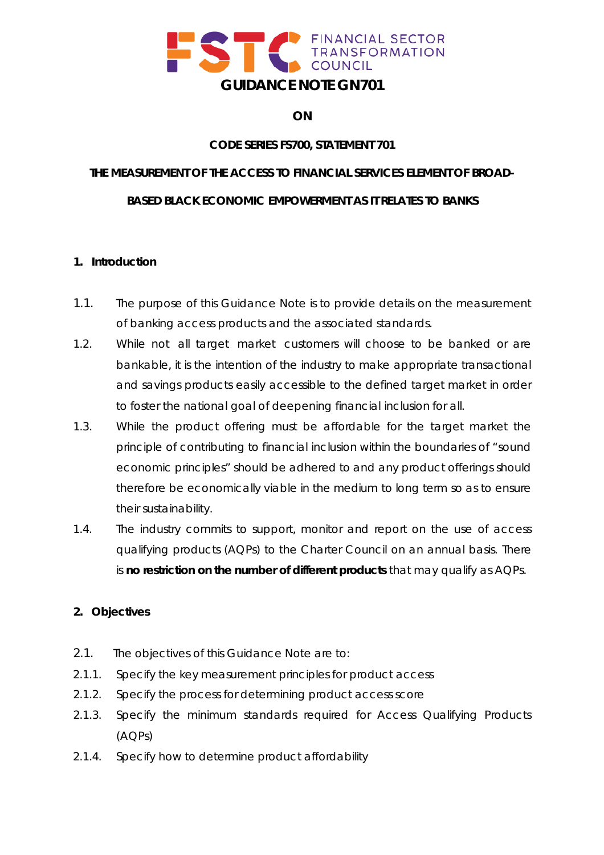

# **ON**

# **CODE SERIES FS700, STATEMENT 701**

# **THE MEASUREMENT OF THE ACCESS TO FINANCIAL SERVICES ELEMENT OF BROAD-**

# **BASED BLACK ECONOMIC EMPOWERMENT AS IT RELATES TO BANKS**

## **1. Introduction**

- 1.1. The purpose of this Guidance Note is to provide details on the measurement of banking access products and the associated standards.
- 1.2. While not all target market customers will choose to be banked or are bankable, it is the intention of the industry to make appropriate transactional and savings products easily accessible to the defined target market in order to foster the national goal of deepening financial inclusion for all.
- 1.3. While the product offering must be affordable for the target market the principle of contributing to financial inclusion within the boundaries of "sound economic principles" should be adhered to and any product offerings should therefore be economically viable in the medium to long term so as to ensure their sustainability.
- 1.4. The industry commits to support, monitor and report on the use of access qualifying products (AQPs) to the Charter Council on an annual basis. There is **no restriction on the number of different products** that may qualify as AQPs.

# **2. Objectives**

- 2.1. The objectives of this Guidance Note are to:
- 2.1.1. Specify the key measurement principles for product access
- 2.1.2. Specify the process for determining product access score
- 2.1.3. Specify the minimum standards required for Access Qualifying Products (AQPs)
- 2.1.4. Specify how to determine product affordability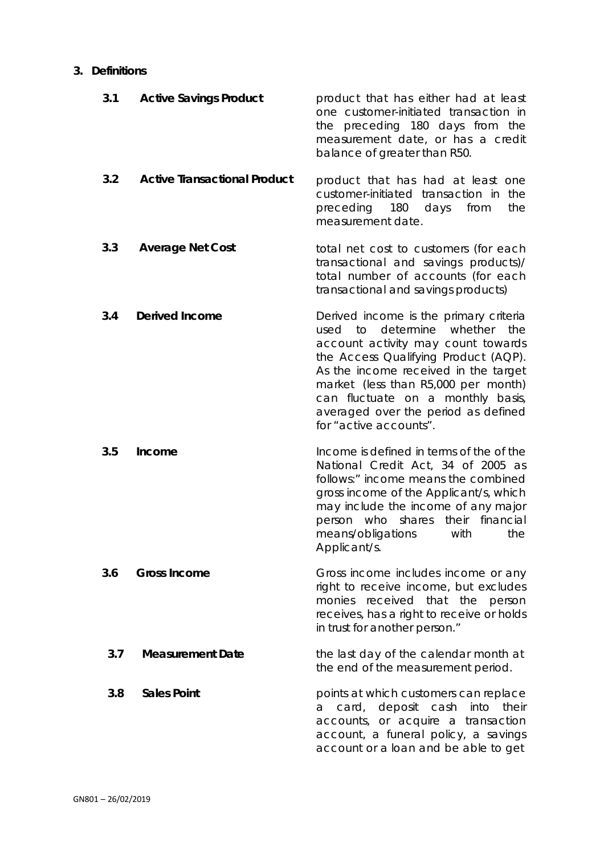#### **3. Definitions**

| 3.1 | <b>Active Savings Product</b>       | product that has either had at least<br>one customer-initiated transaction in<br>the preceding 180 days from the<br>measurement date, or has a credit<br>balance of greater than R50.                                                                                                                                                               |
|-----|-------------------------------------|-----------------------------------------------------------------------------------------------------------------------------------------------------------------------------------------------------------------------------------------------------------------------------------------------------------------------------------------------------|
| 3.2 | <b>Active Transactional Product</b> | product that has had at least one<br>customer-initiated transaction in<br>the<br>preceding 180 days<br>from<br>the<br>measurement date.                                                                                                                                                                                                             |
| 3.3 | <b>Average Net Cost</b>             | total net cost to customers (for each<br>transactional and savings products)/<br>total number of accounts (for each<br>transactional and savings products)                                                                                                                                                                                          |
| 3.4 | <b>Derived Income</b>               | Derived income is the primary criteria<br>determine<br>whether<br>used to<br>the<br>account activity may count towards<br>the Access Qualifying Product (AQP).<br>As the income received in the target<br>market (less than R5,000 per month)<br>can fluctuate on a monthly basis,<br>averaged over the period as defined<br>for "active accounts". |
| 3.5 | Income                              | Income is defined in terms of the of the<br>National Credit Act, 34 of 2005 as<br>follows:" income means the combined<br>gross income of the Applicant/s, which<br>may include the income of any major<br>person who shares their financial<br>means/obligations<br>with<br>the<br>Applicant/s.                                                     |
| 3.6 | <b>Gross Income</b>                 | Gross income includes income or any<br>right to receive income, but excludes<br>monies received that the person<br>receives, has a right to receive or holds<br>in trust for another person."                                                                                                                                                       |
| 3.7 | <b>Measurement Date</b>             | the last day of the calendar month at<br>the end of the measurement period.                                                                                                                                                                                                                                                                         |
| 3.8 | <b>Sales Point</b>                  | points at which customers can replace<br>deposit cash<br>into<br>card,<br>their<br>a<br>accounts, or acquire a transaction<br>account, a funeral policy, a savings<br>account or a loan and be able to get                                                                                                                                          |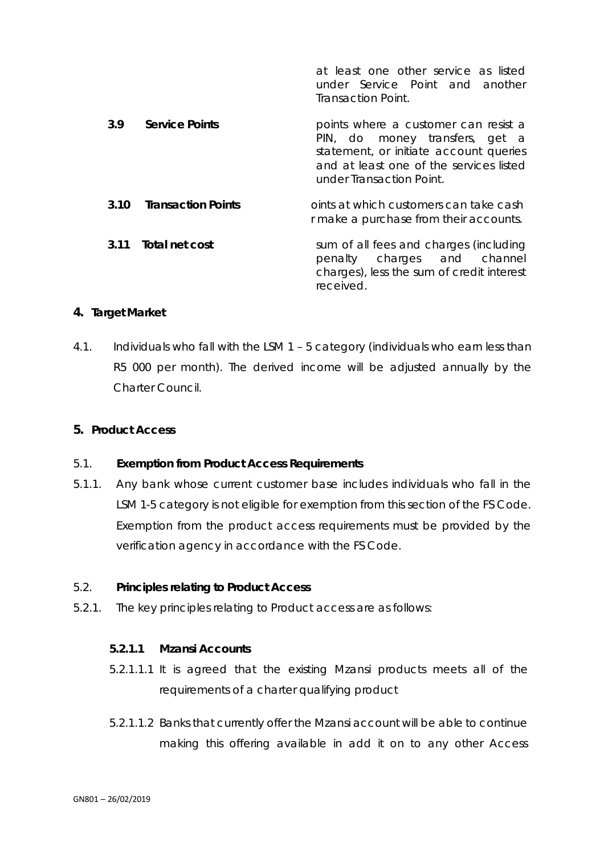|      |                           | at least one other service as listed<br>under Service Point and another<br>Transaction Point.                                                                                           |
|------|---------------------------|-----------------------------------------------------------------------------------------------------------------------------------------------------------------------------------------|
| 3.9  | <b>Service Points</b>     | points where a customer can resist a<br>PIN, do money transfers, get a<br>statement, or initiate account queries<br>and at least one of the services listed<br>under Transaction Point. |
| 3.10 | <b>Transaction Points</b> | oints at which customers can take cash<br>r make a purchase from their accounts.                                                                                                        |
| 3.11 | Total net cost            | sum of all fees and charges (including<br>penalty charges and channel<br>charges), less the sum of credit interest<br>received.                                                         |

# **4. Target Market**

4.1. Individuals who fall with the LSM 1 – 5 category (individuals who earn less than R5 000 per month). The derived income will be adjusted annually by the Charter Council.

# **5. Product Access**

# 5.1. **Exemption from Product Access Requirements**

5.1.1. Any bank whose current customer base includes individuals who fall in the LSM 1-5 category is not eligible for exemption from this section of the FS Code. Exemption from the product access requirements must be provided by the verification agency in accordance with the FS Code.

# 5.2. **Principles relating to Product Access**

5.2.1. The key principles relating to Product access are as follows:

#### **5.2.1.1 Mzansi** *Accounts*

- 5.2.1.1.1 It is agreed that the existing Mzansi products meets all of the requirements of a charter qualifying product
- 5.2.1.1.2 Banks that currently offer the Mzansi account will be able to continue making this offering available in add it on to any other Access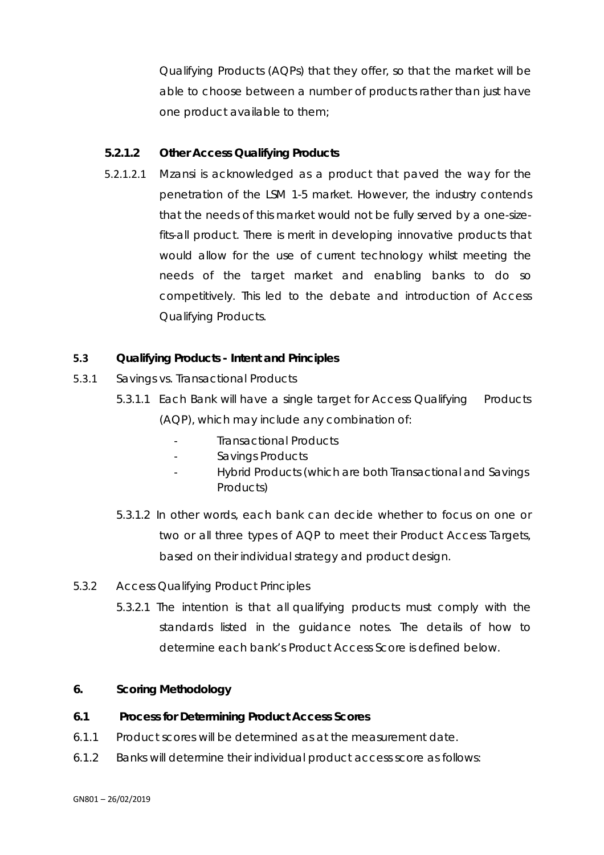Qualifying Products (AQPs) that they offer, so that the market will be able to choose between a number of products rather than just have one product available to them;

## **5.2.1.2 Other Access Qualifying Products**

5.2.1.2.1 Mzansi is acknowledged as a product that paved the way for the penetration of the LSM 1-5 market. However, the industry contends that the needs of this market would not be fully served by a one-sizefits-all product. There is merit in developing innovative products that would allow for the use of current technology whilst meeting the needs of the target market and enabling banks to do so competitively. This led to the debate and introduction of Access Qualifying Products.

## **5.3 Qualifying Products - Intent and Principles**

- 5.3.1 Savings vs. Transactional Products
	- 5.3.1.1 Each Bank will have a single target for Access Qualifying Products (AQP), which may include any combination of:
		- Transactional Products
		- Savings Products
		- Hybrid Products (which are both Transactional and Savings Products)
	- 5.3.1.2 In other words, each bank can decide whether to focus on one or two or all three types of AQP to meet their Product Access Targets, based on their individual strategy and product design.
- 5.3.2 Access Qualifying Product Principles
	- 5.3.2.1 The intention is that all qualifying products must comply with the standards listed in the guidance notes. The details of how to determine each bank's Product Access Score is defined below.

#### **6. Scoring Methodology**

#### **6.1 Process for Determining Product Access Scores**

- 6.1.1 Product scores will be determined as at the measurement date.
- 6.1.2 Banks will determine their individual product access score as follows: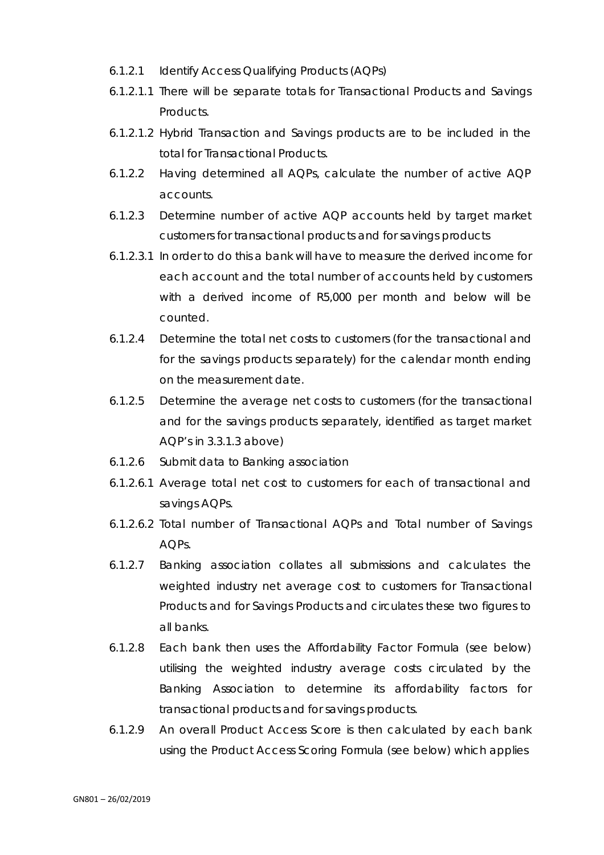- 6.1.2.1 Identify Access Qualifying Products (AQPs)
- 6.1.2.1.1 There will be separate totals for Transactional Products and Savings Products.
- 6.1.2.1.2 Hybrid Transaction and Savings products are to be included in the total for Transactional Products.
- 6.1.2.2 Having determined all AQPs, calculate the number of active AQP accounts.
- 6.1.2.3 Determine number of active AQP accounts held by target market customers for transactional products and for savings products
- 6.1.2.3.1 In order to do this a bank will have to measure the derived income for each account and the total number of accounts held by customers with a derived income of R5,000 per month and below will be counted.
- 6.1.2.4 Determine the total net costs to customers (for the transactional and for the savings products separately) for the calendar month ending on the measurement date.
- 6.1.2.5 Determine the average net costs to customers (for the transactional and for the savings products separately, identified as target market AQP's in 3.3.1.3 above)
- 6.1.2.6 Submit data to Banking association
- 6.1.2.6.1 Average total net cost to customers for each of transactional and savings AQPs.
- 6.1.2.6.2 Total number of Transactional AQPs and Total number of Savings AQPs.
- 6.1.2.7 Banking association collates all submissions and calculates the weighted industry net average cost to customers for Transactional Products and for Savings Products and circulates these two figures to all banks.
- 6.1.2.8 Each bank then uses the Affordability Factor Formula (see below) utilising the weighted industry average costs circulated by the Banking Association to determine its affordability factors for transactional products and for savings products.
- 6.1.2.9 An overall Product Access Score is then calculated by each bank using the Product Access Scoring Formula (see below) which applies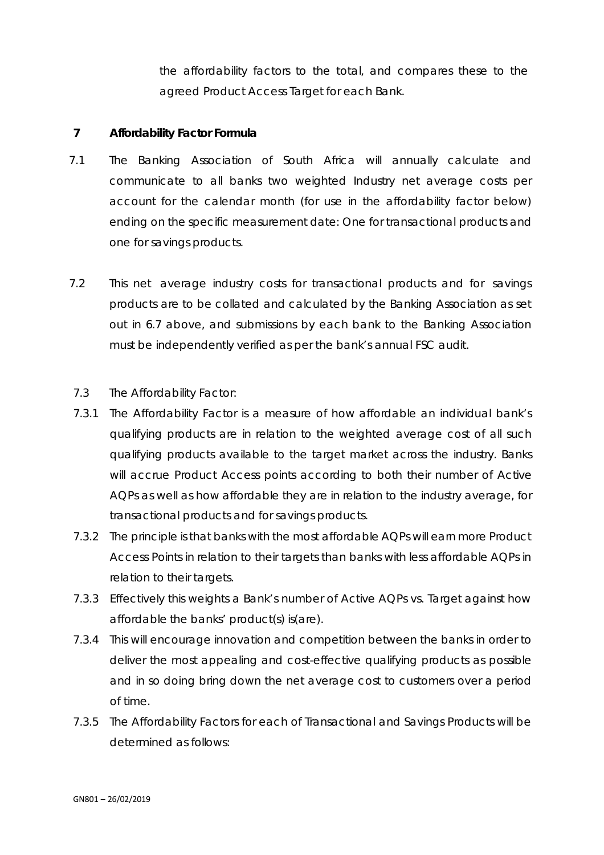the affordability factors to the total, and compares these to the agreed Product Access Target for each Bank.

#### **7 Affordability Factor Formula**

- 7.1 The Banking Association of South Africa will annually calculate and communicate to all banks two weighted Industry net average costs per account for the calendar month (for use in the affordability factor below) ending on the specific measurement date: One for transactional products and one for savings products.
- 7.2 This net average industry costs for transactional products and for savings products are to be collated and calculated by the Banking Association as set out in 6.7 above, and submissions by each bank to the Banking Association must be independently verified as per the bank's annual FSC audit.
- 7.3 The Affordability Factor:
- 7.3.1 The Affordability Factor is a measure of how affordable an individual bank's qualifying products are in relation to the weighted average cost of all such qualifying products available to the target market across the industry. Banks will accrue Product Access points according to both their number of Active AQPs as well as how affordable they are in relation to the industry average, for transactional products and for savings products.
- 7.3.2 The principle is that banks with the most affordable AQPs will earn more Product Access Points in relation to their targets than banks with less affordable AQPs in relation to their targets.
- 7.3.3 Effectively this weights a Bank's number of Active AQPs vs. Target against how affordable the banks' product(s) is(are).
- 7.3.4 This will encourage innovation and competition between the banks in order to deliver the most appealing and cost-effective qualifying products as possible and in so doing bring down the net average cost to customers over a period of time.
- 7.3.5 The Affordability Factors for each of Transactional and Savings Products will be determined as follows: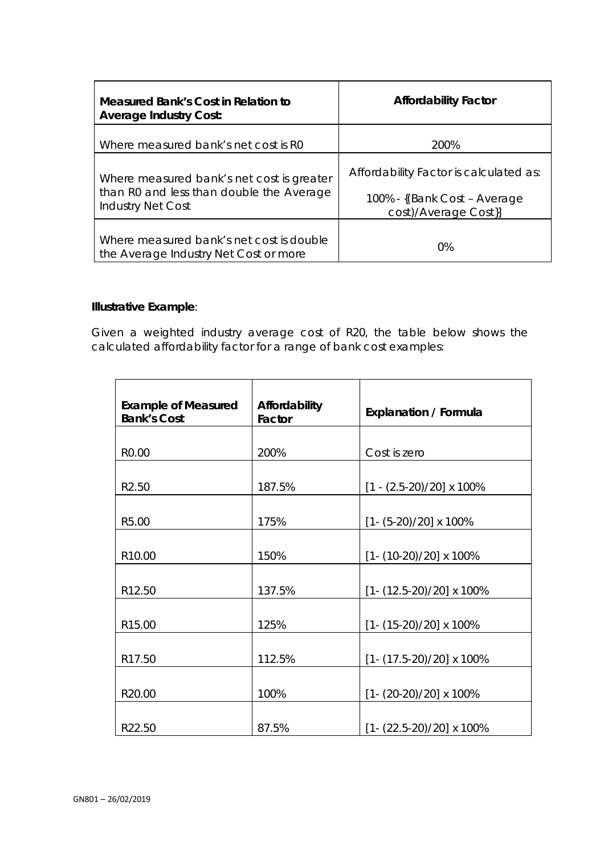| Measured Bank's Cost in Relation to<br><b>Average Industry Cost:</b>                                              | <b>Affordability Factor</b>                                                                    |  |
|-------------------------------------------------------------------------------------------------------------------|------------------------------------------------------------------------------------------------|--|
| Where measured bank's net cost is R0                                                                              | 200%                                                                                           |  |
| Where measured bank's net cost is greater<br>than R0 and less than double the Average<br><b>Industry Net Cost</b> | Affordability Factor is calculated as:<br>100% - {(Bank Cost – Average<br>cost)/Average Cost}] |  |
| Where measured bank's net cost is double<br>the Average Industry Net Cost or more                                 | $0\%$                                                                                          |  |

# **Illustrative Example**:

Given a weighted industry average cost of R20, the table below shows the calculated affordability factor for a range of bank cost examples:

| <b>Example of Measured</b><br><b>Bank's Cost</b> | Affordability<br>Factor | <b>Explanation / Formula</b>        |  |
|--------------------------------------------------|-------------------------|-------------------------------------|--|
|                                                  |                         |                                     |  |
| R0.00                                            | 200%                    | Cost is zero                        |  |
|                                                  |                         |                                     |  |
| R2.50                                            | 187.5%                  | $[1 - (2.5 - 20)/20] \times 100\%$  |  |
|                                                  |                         |                                     |  |
| R5.00                                            | 175%                    | $[1 - (5-20)/20] \times 100\%$      |  |
|                                                  |                         |                                     |  |
| R10.00                                           | 150%                    | $[1 - (10-20)/20] \times 100\%$     |  |
|                                                  |                         |                                     |  |
| R12.50                                           | 137.5%                  | $[1 - (12.5 - 20)/20] \times 100\%$ |  |
|                                                  |                         |                                     |  |
| R15.00                                           | 125%                    | $[1 - (15-20)/20] \times 100\%$     |  |
|                                                  |                         |                                     |  |
| R17.50                                           | 112.5%                  | $[1 - (17.5 - 20)/20] \times 100\%$ |  |
|                                                  |                         |                                     |  |
| R20.00                                           | 100%                    | $[1 - (20-20)/20] \times 100\%$     |  |
|                                                  |                         |                                     |  |
| R22.50                                           | 87.5%                   | $[1 - (22.5 - 20)/20] \times 100\%$ |  |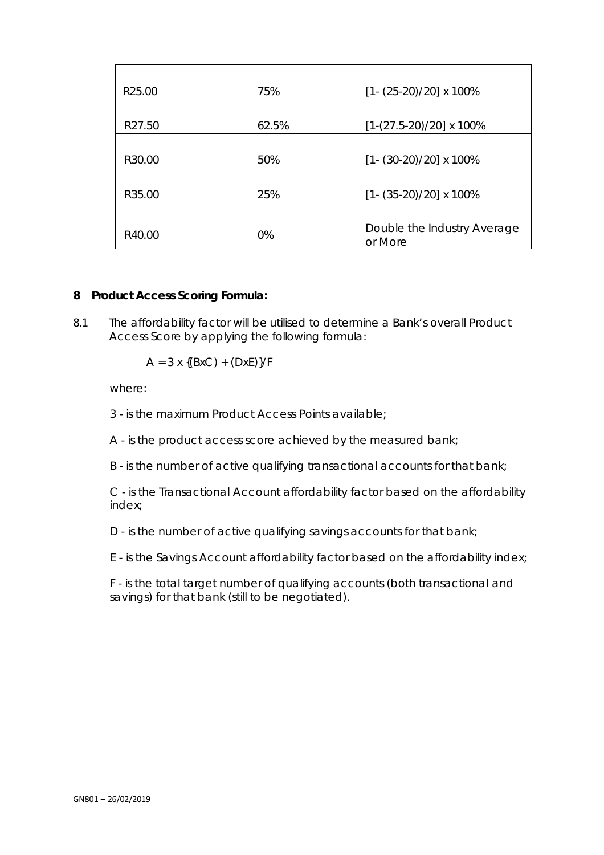| R <sub>25.00</sub> | 75%   | $[1 - (25-20)/20] \times 100\%$        |
|--------------------|-------|----------------------------------------|
|                    |       |                                        |
| R27.50             | 62.5% | $[1-(27.5-20)/20] \times 100\%$        |
|                    |       |                                        |
| R30.00             | 50%   | $[1 - (30-20)/20] \times 100\%$        |
|                    |       |                                        |
| R35.00             | 25%   | $[1 - (35-20)/20] \times 100\%$        |
|                    |       |                                        |
| R40.00             | 0%    | Double the Industry Average<br>or More |

## **8 Product Access Scoring Formula:**

8.1 The affordability factor will be utilised to determine a Bank's overall Product Access Score by applying the following formula:

$$
A = 3 \times \{(BxC) + (DxE)\}/F
$$

where:

- *3*  is the maximum Product Access Points available;
- *A*  is the product access score achieved by the measured bank;
- *B*  is the number of active qualifying transactional accounts for that bank;

*C* - is the Transactional Account affordability factor based on the affordability index;

*D* - is the number of active qualifying savings accounts for that bank;

*E* - is the Savings Account affordability factor based on the affordability index;

*F* - is the total target number of qualifying accounts (both transactional and savings) for that bank (still to be negotiated).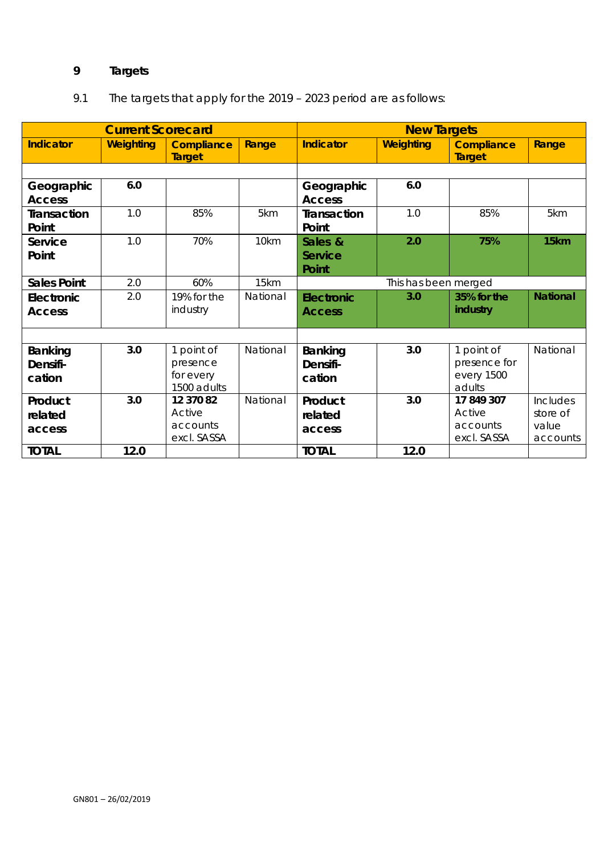# **9 Targets**

# 9.1 The targets that apply for the 2019 – 2023 period are as follows:

|                    | <b>Current Scorecard</b> |                                    |          |                    | <b>New Targets</b>   |                                    |                 |
|--------------------|--------------------------|------------------------------------|----------|--------------------|----------------------|------------------------------------|-----------------|
| <b>Indicator</b>   | <b>Weighting</b>         | <b>Compliance</b><br><b>Target</b> | Range    | <b>Indicator</b>   | <b>Weighting</b>     | <b>Compliance</b><br><b>Target</b> | Range           |
|                    |                          |                                    |          |                    |                      |                                    |                 |
| Geographic         | 6.0                      |                                    |          | Geographic         | 6.0                  |                                    |                 |
| <b>Access</b>      |                          |                                    |          | <b>Access</b>      |                      |                                    |                 |
| <b>Transaction</b> | 1.0                      | 85%                                | 5km      | <b>Transaction</b> | 1.0                  | 85%                                | 5km             |
| Point              |                          |                                    |          | Point              |                      |                                    |                 |
| Service            | 1.0                      | 70%                                | 10km     | Sales &            | 2.0                  | 75%                                | 15km            |
| Point              |                          |                                    |          | <b>Service</b>     |                      |                                    |                 |
|                    |                          |                                    |          | Point              |                      |                                    |                 |
| <b>Sales Point</b> | 2.0                      | 60%                                | 15km     |                    | This has been merged |                                    |                 |
| Electronic         | 2.0                      | 19% for the                        | National | <b>Electronic</b>  | 3.0                  | 35% for the                        | <b>National</b> |
| <b>Access</b>      |                          | industry                           |          | <b>Access</b>      |                      | industry                           |                 |
|                    |                          |                                    |          |                    |                      |                                    |                 |
|                    |                          |                                    |          |                    |                      |                                    |                 |
| Banking            | 3.0                      | 1 point of                         | National | Banking            | 3.0                  | 1 point of                         | National        |
| Densifi-           |                          | presence                           |          | Densifi-           |                      | presence for                       |                 |
| cation             |                          | for every                          |          | cation             |                      | every 1500                         |                 |
|                    |                          | 1500 adults                        |          |                    |                      | adults                             |                 |
| Product            | 3.0                      | 12 370 82                          | National | Product            | 3.0                  | 17 849 307                         | <b>Includes</b> |
| related            |                          | Active                             |          | related            |                      | Active                             | store of        |
| access             |                          | accounts                           |          | access             |                      | accounts                           | value           |
|                    |                          | excl. SASSA                        |          |                    |                      | excl. SASSA                        | accounts        |
| <b>TOTAL</b>       | 12.0                     |                                    |          | <b>TOTAL</b>       | 12.0                 |                                    |                 |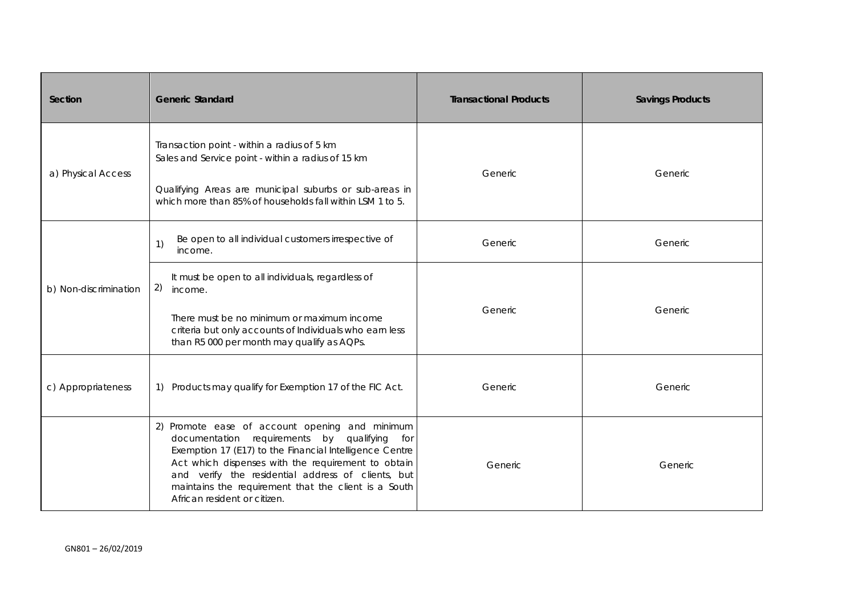| Section                                                                                                                                                                                                                                        | <b>Generic Standard</b>                                                                                                                                                                                                                                                                                                                                          | <b>Transactional Products</b> | <b>Savings Products</b> |
|------------------------------------------------------------------------------------------------------------------------------------------------------------------------------------------------------------------------------------------------|------------------------------------------------------------------------------------------------------------------------------------------------------------------------------------------------------------------------------------------------------------------------------------------------------------------------------------------------------------------|-------------------------------|-------------------------|
| Transaction point - within a radius of 5 km<br>Sales and Service point - within a radius of 15 km<br>a) Physical Access<br>Qualifying Areas are municipal suburbs or sub-areas in<br>which more than 85% of households fall within LSM 1 to 5. |                                                                                                                                                                                                                                                                                                                                                                  | Generic                       | Generic                 |
| b) Non-discrimination                                                                                                                                                                                                                          | Be open to all individual customers irrespective of<br>1)<br>income.                                                                                                                                                                                                                                                                                             | Generic                       | Generic                 |
|                                                                                                                                                                                                                                                | It must be open to all individuals, regardless of<br>2)<br>income.<br>There must be no minimum or maximum income<br>criteria but only accounts of Individuals who earn less<br>than R5 000 per month may qualify as AQPs.                                                                                                                                        | Generic                       | Generic                 |
| c) Appropriateness                                                                                                                                                                                                                             | 1) Products may qualify for Exemption 17 of the FIC Act.                                                                                                                                                                                                                                                                                                         | Generic                       | <b>Generic</b>          |
|                                                                                                                                                                                                                                                | 2) Promote ease of account opening and minimum<br>documentation requirements by qualifying<br>for<br>Exemption 17 (E17) to the Financial Intelligence Centre<br>Act which dispenses with the requirement to obtain<br>and verify the residential address of clients, but<br>maintains the requirement that the client is a South<br>African resident or citizen. | Generic                       | Generic                 |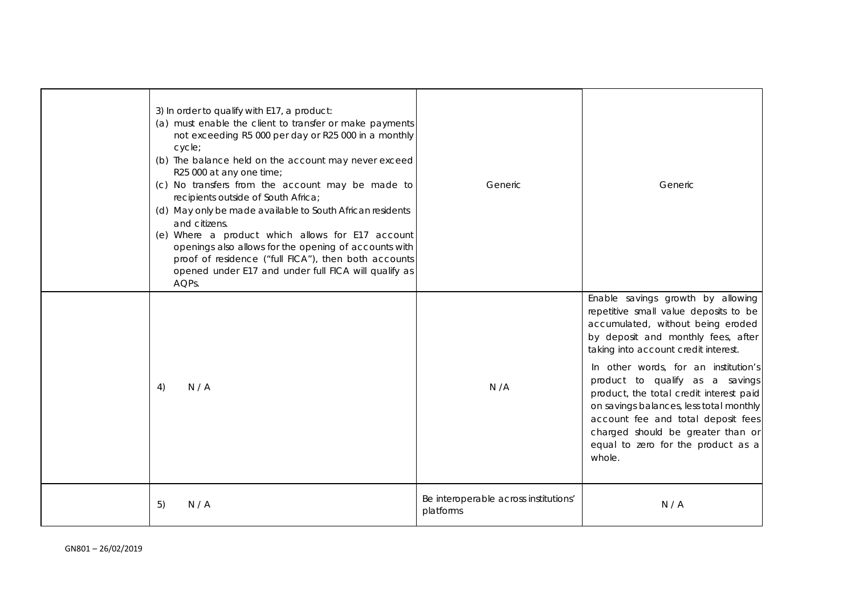| 3) In order to qualify with E17, a product:<br>(a) must enable the client to transfer or make payments<br>not exceeding R5 000 per day or R25 000 in a monthly<br>cycle;<br>(b) The balance held on the account may never exceed<br>R25 000 at any one time;<br>(c) No transfers from the account may be made to<br>recipients outside of South Africa;<br>(d) May only be made available to South African residents<br>and citizens.<br>(e) Where a product which allows for E17 account<br>openings also allows for the opening of accounts with<br>proof of residence ("full FICA"), then both accounts<br>opened under E17 and under full FICA will qualify as<br>AQPs. | Generic                                            | Generic                                                                                                                                                                                                                                                                                  |
|-----------------------------------------------------------------------------------------------------------------------------------------------------------------------------------------------------------------------------------------------------------------------------------------------------------------------------------------------------------------------------------------------------------------------------------------------------------------------------------------------------------------------------------------------------------------------------------------------------------------------------------------------------------------------------|----------------------------------------------------|------------------------------------------------------------------------------------------------------------------------------------------------------------------------------------------------------------------------------------------------------------------------------------------|
|                                                                                                                                                                                                                                                                                                                                                                                                                                                                                                                                                                                                                                                                             |                                                    | Enable savings growth by allowing<br>repetitive small value deposits to be<br>accumulated, without being eroded<br>by deposit and monthly fees, after<br>taking into account credit interest.                                                                                            |
| N/A<br>4)                                                                                                                                                                                                                                                                                                                                                                                                                                                                                                                                                                                                                                                                   | N/A                                                | In other words, for an institution's<br>product to qualify as a savings<br>product, the total credit interest paid<br>on savings balances, less total monthly<br>account fee and total deposit fees<br>charged should be greater than or<br>equal to zero for the product as a<br>whole. |
| N/A<br>5)                                                                                                                                                                                                                                                                                                                                                                                                                                                                                                                                                                                                                                                                   | Be interoperable across institutions'<br>platforms | N/A                                                                                                                                                                                                                                                                                      |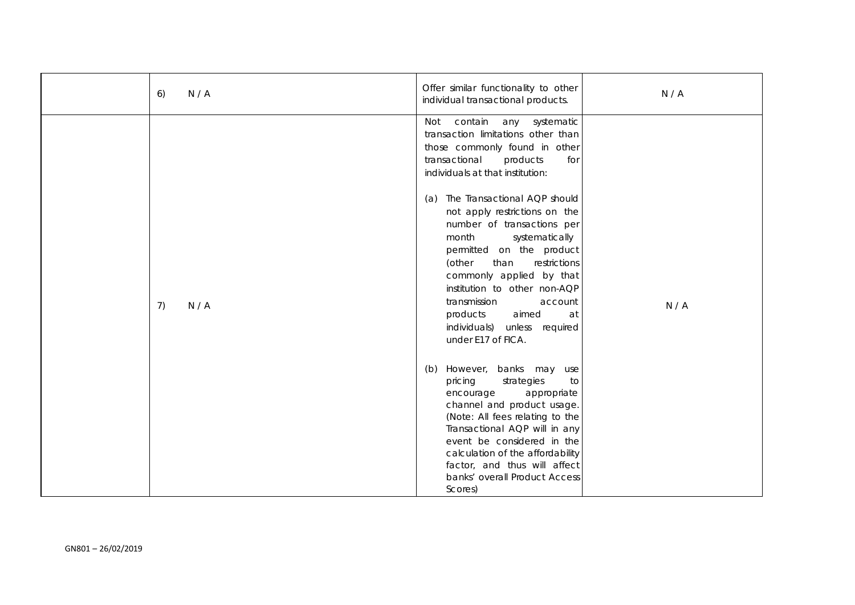| N/A<br>6) | Offer similar functionality to other<br>individual transactional products.                                                                                                                                                                                                                                                                                       | N/A |
|-----------|------------------------------------------------------------------------------------------------------------------------------------------------------------------------------------------------------------------------------------------------------------------------------------------------------------------------------------------------------------------|-----|
|           | contain<br>Not<br>any systematic<br>transaction limitations other than<br>those commonly found in other<br>transactional<br>products<br>for<br>individuals at that institution:                                                                                                                                                                                  |     |
| 7)<br>N/A | (a) The Transactional AQP should<br>not apply restrictions on the<br>number of transactions per<br>month<br>systematically<br>permitted on the product<br>(other<br>than<br>restrictions<br>commonly applied by that<br>institution to other non-AQP<br>transmission<br>account<br>products<br>aimed<br>at<br>individuals) unless required<br>under E17 of FICA. | N/A |
|           | However, banks may use<br>(b)<br>pricing<br>strategies<br>to<br>appropriate<br>encourage<br>channel and product usage.<br>(Note: All fees relating to the<br>Transactional AQP will in any<br>event be considered in the<br>calculation of the affordability<br>factor, and thus will affect<br>banks' overall Product Access<br>Scores)                         |     |